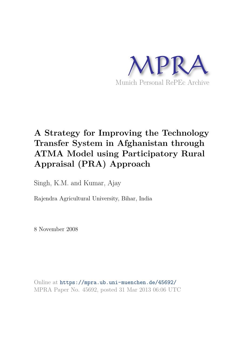

# **A Strategy for Improving the Technology Transfer System in Afghanistan through ATMA Model using Participatory Rural Appraisal (PRA) Approach**

Singh, K.M. and Kumar, Ajay

Rajendra Agricultural University, Bihar, India

8 November 2008

Online at https://mpra.ub.uni-muenchen.de/45692/ MPRA Paper No. 45692, posted 31 Mar 2013 06:06 UTC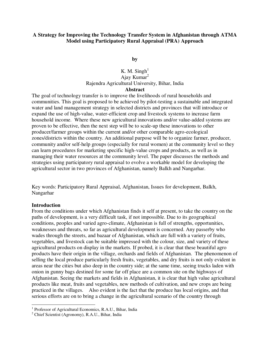#### **A Strategy for Improving the Technology Transfer System in Afghanistan through ATMA Model using Participatory Rural Appraisal (PRA) Approach**

**by** 

# K. M. Singh $<sup>1</sup>$ </sup> Ajay Kumar $2$ Rajendra Agricultural University, Bihar, India **Abstract**

The goal of technology transfer is to improve the livelihoods of rural households and communities. This goal is proposed to be achieved by pilot-testing a sustainable and integrated water and land management strategy in selected districts and provinces that will introduce or expand the use of high-value, water-efficient crop and livestock systems to increase farm household income. Where these new agricultural innovations and/or value-added systems are proven to be effective, then the next step will be to scale-up these innovations to other producer/farmer groups within the current and/or other comparable agro-ecological zones/districts within the country. An additional purpose will be to organize farmer, producer, community and/or self-help groups (especially for rural women) at the community level so they can learn procedures for marketing specific high-value crops and products, as well as in managing their water resources at the community level. The paper discusses the methods and strategies using participatory rural appraisal to evolve a workable model for developing the agricultural sector in two provinces of Afghanistan, namely Balkh and Nangarhar.

Key words: Participatory Rural Appraisal, Afghanistan, Issues for development, Balkh, Nangarhar

#### **Introduction**

From the conditions under which Afghanistan finds it self at present, to take the country on the paths of development, is a very difficult task, if not impossible. Due to its geographical conditions, peoples and varied agro-climate, Afghanistan is full of strengths, opportunities, weaknesses and threats, so far as agricultural development is concerned. Any passerby who wades through the streets, and bazaar of Afghanistan, which are full with a variety of fruits, vegetables, and livestock can be suitable impressed with the colour, size, and variety of these agricultural products on display in the markets. If probed, it is clear that these beautiful agro products have their origin in the village, orchards and fields of Afghanistan. The phenomenon of selling the local produce particularly fresh fruits, vegetables, and dry fruits is not only evident in areas near the cities but also deep in the country side; at the same time, seeing trucks laden with onion in gunny bags destined for some far off place are a common site on the highways of Afghanistan. Seeing the markets and fields in Afghanistan, it is clear that high value agricultural products like meat, fruits and vegetables, new methods of cultivation, and new crops are being practiced in the villages. Also evident is the fact that the produce has local origins, and that serious efforts are on to bring a change in the agricultural scenario of the country through

 1 Professor of Agricultural Economics, R.A.U., Bihar, India

<sup>2</sup> Chief Scientist (Agronomy), R.A.U., Bihar, India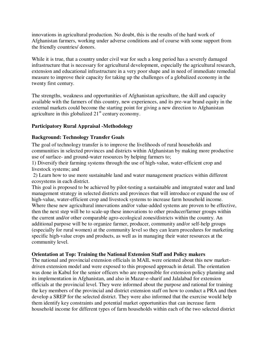innovations in agricultural production. No doubt, this is the results of the hard work of Afghanistan farmers, working under adverse conditions and of course with some support from the friendly countries/ donors.

While it is true, that a country under civil war for such a long period has a severely damaged infrastructure that is necessary for agricultural development, especially the agricultural research, extension and educational infrastructure in a very poor shape and in need of immediate remedial measure to improve their capacity for taking up the challenges of a globalized economy in the twenty first century.

The strengths, weakness and opportunities of Afghanistan agriculture, the skill and capacity available with the farmers of this country, new experiences, and its pre-war brand equity in the external markets could become the starting point for giving a new direction to Afghanistan agriculture in this globalized  $21<sup>st</sup>$  century economy.

# **Participatory Rural Appraisal -Methodology**

# **Background: Technology Transfer Goals**

The goal of technology transfer is to improve the livelihoods of rural households and communities in selected provinces and districts within Afghanistan by making more productive use of surface- and ground-water resources by helping farmers to;

1) Diversify their farming systems through the use of high-value, water-efficient crop and livestock systems; and

 2) Learn how to use more sustainable land and water management practices within different ecosystems in each district.

This goal is proposed to be achieved by pilot-testing a sustainable and integrated water and land management strategy in selected districts and provinces that will introduce or expand the use of high-value, water-efficient crop and livestock systems to increase farm household income. Where these new agricultural innovations and/or value-added systems are proven to be effective, then the next step will be to scale-up these innovations to other producer/farmer groups within the current and/or other comparable agro-ecological zones/districts within the country. An additional purpose will be to organize farmer, producer, community and/or self-help groups (especially for rural women) at the community level so they can learn procedures for marketing specific high-value crops and products, as well as in managing their water resources at the community level.

#### **Orientation at Top: Training the National Extension Staff and Policy makers**

The national and provincial extension officials in MAIL were oriented about this new marketdriven extension model and were exposed to this proposed approach in detail. The orientation was done in Kabul for the senior officers who are responsible for extension policy planning and its implementation in Afghanistan, and also in Mazar-e-sharif and Jalalabad for extension officials at the provincial level. They were informed about the purpose and rational for training the key members of the provincial and district extension staff on how to conduct a PRA and then develop a SREP for the selected district. They were also informed that the exercise would help them identify key constraints and potential market opportunities that can increase farm household income for different types of farm households within each of the two selected district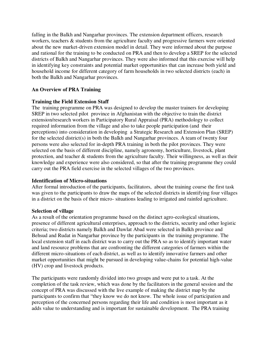falling in the Balkh and Nangarhar provinces. The extension department officers, research workers, teachers & students from the agriculture faculty and progressive farmers were oriented about the new market-driven extension model in detail. They were informed about the purpose and rational for the training to be conducted on PRA and then to develop a SREP for the selected districts of Balkh and Nangarhar provinces. They were also informed that this exercise will help in identifying key constraints and potential market opportunities that can increase both yield and household income for different category of farm households in two selected districts (each) in both the Balkh and Nangarhar provinces.

# **An Overview of PRA Training**

# **Training the Field Extension Staff**

The training programme on PRA was designed to develop the master trainers for developing SREP in two selected pilot province in Afghanistan with the objective to train the district extension/research workers in Participatory Rural Appraisal (PRA) methodology to collect required information from the village and also to take people participation (and their perceptions) into consideration in developing a Strategic Research and Extension Plan (SREP) for the selected district(s) in both the Balkh and Nangarhar provinces. A team of twenty four persons were also selected for in-depth PRA training in both the pilot provinces. They were selected on the basis of different discipline, namely agronomy, horticulture, livestock, plant protection, and teacher & students from the agriculture faculty. Their willingness, as well as their knowledge and experience were also considered, so that after the training programme they could carry out the PRA field exercise in the selected villages of the two provinces.

#### **Identification of Micro-situations**

After formal introduction of the participants, facilitators, about the training course the first task was given to the participants to draw the maps of the selected districts in identifying four villages in a district on the basis of their micro- situations leading to irrigated and rainfed agriculture.

#### **Selection of village**

As a result of the orientation programme based on the distinct agro-ecological situations, presence of different agricultural enterprises, approach to the districts, security and other logistic criteria; two districts namely Balkh and Dawlat Abad were selected in Balkh province and Behsud and Rudat in Nangarhar province by the participants in the training programme. The local extension staff in each district was to carry out the PRA so as to identify important water and land resource problems that are confronting the different categories of farmers within the different micro-situations of each district, as well as to identify innovative farmers and other market opportunities that might be pursued in developing value-chains for potential high-value (HV) crop and livestock products.

The participants were randomly divided into two groups and were put to a task. At the completion of the task review, which was done by the facilitators in the general session and the concept of PRA was discussed with the live example of making the district map by the participants to confirm that "they know we do not know. The whole issue of participation and perception of the concerned persons regarding their life and condition is most important as it adds value to understanding and is important for sustainable development. The PRA training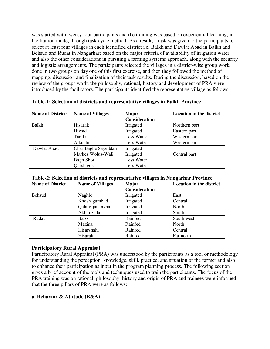was started with twenty four participants and the training was based on experiential learning, in facilitation mode, through task cycle method. As a result, a task was given to the participants to select at least four villages in each identified district i.e. Balkh and Dawlat Abad in Balkh and Behsud and Rudat in Nangarhar; based on the major criteria of availability of irrigation water and also the other considerations in pursuing a farming systems approach, along with the security and logistic arrangements. The participants selected the villages in a district-wise group work, done in two groups on day one of this first exercise, and then they followed the method of mapping, discussion and finalization of their task results. During the discussion, based on the review of the groups work, the philosophy, rational, history and development of PRA were introduced by the facilitators. The participants identified the representative village as follows:

**Table-1: Selection of districts and representative villages in Balkh Province** 

| <b>Name of Districts</b> | <b>Name of Villages</b> | <b>Major</b>         | <b>Location in the district</b> |
|--------------------------|-------------------------|----------------------|---------------------------------|
|                          |                         | <b>Consideration</b> |                                 |
| Balkh                    | Hisarak                 | Irrigated            | Northern part                   |
|                          | Hiwad                   | Irrigated            | Eastern part                    |
|                          | Taraki                  | Less Water           | Western part                    |
|                          | Alkuchi                 | Less Water           | Western part                    |
| Dawlat Abad              | Char Baghe Sayeddan     | Irrigated            |                                 |
|                          | Markez Wolus-Wali       | Irrigated            | Central part                    |
|                          | <b>Bagh Shor</b>        | Less Water           |                                 |
|                          | Qarshigok               | Less Water           |                                 |

| <b>Name of District</b> | <b>Name of Villages</b> | <b>Major</b>  | <b>Location in the district</b> |
|-------------------------|-------------------------|---------------|---------------------------------|
|                         |                         | Consideration |                                 |
| <b>Behsud</b>           | Naghlo                  | Irrigated     | East                            |
|                         | Khosh-gumbad            | Irrigated     | Central                         |
|                         | Qala-e-janankhan        | Irrigated     | North                           |
|                         | Akhunzada               | Irrigated     | South                           |
| Rudat                   | Baro                    | Rainfed       | South west                      |
|                         | Mazina                  | Rainfed       | North                           |
|                         | Hisarshahi              | Rainfed       | Central                         |
|                         | Hisarak                 | Rainfed       | Far north                       |

# **Participatory Rural Appraisal**

Participatory Rural Appraisal (PRA) was understood by the participants as a tool or methodology for understanding the perception, knowledge, skill, practice, and situation of the farmer and also to enhance their participation as input in the program planning process. The following section gives a brief account of the tools and techniques used to train the participants. The focus of the PRA training was on rational, philosophy, history and origin of PRA and trainees were informed that the three pillars of PRA were as follows:

# **a. Behavior & Attitude (B&A)**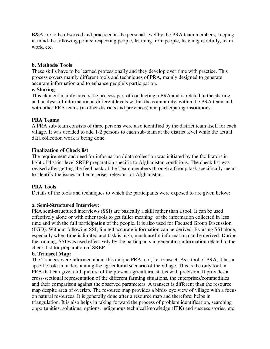B&A are to be observed and practiced at the personal level by the PRA team members, keeping in mind the following points: respecting people, learning from people, listening carefully, team work, etc.

# **b. Methods/ Tools**

These skills have to be learned professionally and they develop over time with practice. This process covers mainly different tools and techniques of PRA, mainly designed to generate accurate information and to enhance people's participation.

# **c. Sharing**

This element mainly covers the process part of conducting a PRA and is related to the sharing and analysis of information at different levels within the community, within the PRA team and with other PRA teams (in other districts and provinces) and participating institutions.

# **PRA Teams**

A PRA sub-team consists of three persons were also identified by the district team itself for each village. It was decided to add 1-2 persons to each sub-team at the district level while the actual data collection work is being done.

# **Finalization of Check list**

The requirement and need for information / data collection was initiated by the facilitators in light of district level SREP preparation specific to Afghanistan conditions. The check list was revised after getting the feed back of the Team members through a Group task specifically meant to identify the issues and enterprises relevant for Afghanistan.

# **PRA Tools**

Details of the tools and techniques to which the participants were exposed to are given below:

#### **a. Semi-Structured Interview:**

PRA semi-structured interviews (SSI) are basically a skill rather than a tool. It can be used effectively alone or with other tools to get fuller meaning of the information collected in less time and with the full participation of the people. It is also used for Focused Group Discussion (FGD). Without following SSI, limited accurate information can be derived. By using SSI alone, especially when time is limited and task is high, much useful information can be derived. During the training, SSI was used effectively by the participants in generating information related to the check-list for preparation of SREP.

#### **b. Transect Map:**

The Trainees were informed about this unique PRA tool, i.e. transect. As a tool of PRA, it has a specific role in understanding the agricultural scenario of the village. This is the only tool in PRA that can give a full picture of the present agricultural status with precision. It provides a cross-sectional representation of the different farming situations, the enterprises/commodities and their comparison against the observed parameters. A transect is different than the resource map despite area of overlap. The resource map provides a birds- eye view of village with a focus on natural resources. It is generally done after a resource map and therefore, helps in triangulation. It is also helps in taking forward the process of problem identification, searching opportunities, solutions, options, indigenous technical knowledge (ITK) and success stories, etc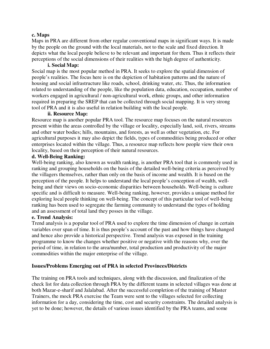#### **c. Maps**

Maps in PRA are different from other regular conventional maps in significant ways. It is made by the people on the ground with the local materials, not to the scale and fixed direction. It depicts what the local people believe to be relevant and important for them. Thus it reflects their perceptions of the social dimensions of their realities with the high degree of authenticity.

# **i. Social Map:**

Social map is the most popular method in PRA. It seeks to explore the spatial dimension of people's realities. The focus here is on the depiction of habitation patterns and the nature of housing and social infrastructure like roads, school, drinking water, etc. Thus, the information related to understanding of the people, like the population data, education, occupation, number of workers engaged in agricultural / non-agricultural work, ethnic groups, and other information required in preparing the SREP that can be collected through social mapping. It is very strong tool of PRA and it is also useful in relation building with the local people.

#### **ii. Resource Map:**

Resource map is another popular PRA tool. The resource map focuses on the natural resources present within the areas controlled by the village or locality, especially land, soil, rivers, streams and other water bodies; hills, mountains, and forests, as well as other vegetation, etc. For agricultural purposes it may also depict the fields, types of commodities being produced or other enterprises located within the village. Thus, a resource map reflects how people view their own locality, based on their perception of their natural resources.

# **d. Well-Being Ranking:**

Well-being ranking, also known as wealth ranking, is another PRA tool that is commonly used in ranking and grouping households on the basis of the detailed well-being criteria as perceived by the villagers themselves, rather than only on the basis of income and wealth. It is based on the perception of the people. It helps to understand the local people's conception of wealth, wellbeing and their views on socio-economic disparities between households. Well-being is culture specific and is difficult to measure. Well-being ranking, however, provides a unique method for exploring local people thinking on well-being. The concept of this particular tool of well-being ranking has been used to segregate the farming community to understand the types of holding and an assessment of total land they posses in the village.

#### **e. Trend Analysis:**

Trend analysis is a popular tool of PRA used to explore the time dimension of change in certain variables over span of time. It is thus people's account of the past and how things have changed and hence also provide a historical perspective. Trend analysis was exposed in the training programme to know the changes whether positive or negative with the reasons why, over the period of time, in relation to the area/number, total production and productivity of the major commodities within the major enterprise of the village.

#### **Issues/Problems Emerging out of PRA in selected Provinces/Districts**

The training on PRA tools and techniques, along with the discussion, and finalization of the check list for data collection through PRA by the different teams in selected villages was done at both Mazar-e-sharif and Jalalabad. After the successful completion of the training of Master Trainers, the mock PRA exercise the Team were sent to the villages selected for collecting information for a day, considering the time, cost and security constraints. The detailed analysis is yet to be done; however, the details of various issues identified by the PRA teams, and some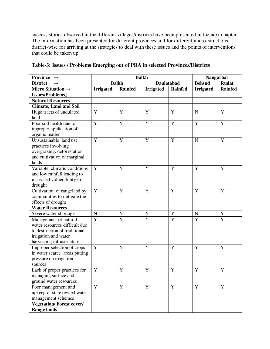success stories observed in the different villages/districts have been presented in the next chapter. The information has been presented for different provinces and for different micro-situations district-wise for arriving at the strategies to deal with these issues and the points of interventions that could be taken up.

| <b>Province</b><br>$\rightarrow$ | <b>Balkh</b>                      |                |                  |                | Nangarhar        |                |
|----------------------------------|-----------------------------------|----------------|------------------|----------------|------------------|----------------|
| <b>District</b>                  | <b>Balkh</b><br><b>Daulatabad</b> |                | <b>Behsud</b>    | <b>Rudat</b>   |                  |                |
| Micro Situation $\rightarrow$    | <b>Irrigated</b>                  | <b>Rainfed</b> | <b>Irrigated</b> | <b>Rainfed</b> | <b>Irrigated</b> | <b>Rainfed</b> |
| Issues/Problems                  |                                   |                |                  |                |                  |                |
| <b>Natural Resources</b>         |                                   |                |                  |                |                  |                |
| <b>Climate, Land and Soil</b>    |                                   |                |                  |                |                  |                |
| Huge tracts of undulated         | Y                                 | Y              | Y                | Y              | $\mathbf N$      | Y              |
| land                             |                                   |                |                  |                |                  |                |
| Poor soil health due to          | Y                                 | Y              | $\mathbf Y$      | $\mathbf Y$    | $\mathbf Y$      | $\overline{Y}$ |
| improper application of          |                                   |                |                  |                |                  |                |
| organic matter                   |                                   |                |                  |                |                  |                |
| Unsustainable land use           | Y                                 | Y              | Y                | Y              | $\mathbf N$      | Y              |
| practices involving              |                                   |                |                  |                |                  |                |
| overgrazing, deforestation,      |                                   |                |                  |                |                  |                |
| and cultivation of marginal      |                                   |                |                  |                |                  |                |
| lands                            |                                   |                |                  |                |                  |                |
| Variable climatic conditions     | Y                                 | Y              | Y                | Y              | Y                | Y              |
| and low rainfall leading to      |                                   |                |                  |                |                  |                |
| increased vulnerability to       |                                   |                |                  |                |                  |                |
| drought                          |                                   |                |                  |                |                  |                |
| Cultivation of rangeland by      | Y                                 | Y              | Y                | Y              | Y                | Y              |
| communities to mitigate the      |                                   |                |                  |                |                  |                |
| effects of drought               |                                   |                |                  |                |                  |                |
| <b>Water Resources</b>           |                                   |                |                  |                |                  |                |
| Severe water shortage            | ${\bf N}$                         | Y              | ${\bf N}$        | Y              | $\mathbf N$      | $\overline{Y}$ |
| Management of natural            | $\overline{Y}$                    | Y              | Y                | Y              | Y                | Y              |
| water resources difficult due    |                                   |                |                  |                |                  |                |
| to destruction of traditional    |                                   |                |                  |                |                  |                |
| irrigation and water             |                                   |                |                  |                |                  |                |
| harvesting infrastructure        |                                   |                |                  |                |                  |                |
| Improper selection of crops      | Y                                 | Y              | Y                | Y              | Y                | Y              |
| in water scarce areas putting    |                                   |                |                  |                |                  |                |
| pressure on irrigation           |                                   |                |                  |                |                  |                |
| sources                          |                                   |                |                  |                |                  |                |
| Lack of proper practices for     | Y                                 | Y              | Y                | Y              | Y                | Y              |
| managing surface and             |                                   |                |                  |                |                  |                |
| ground water resources           |                                   |                |                  |                |                  |                |
| Poor management and              | Y                                 | $\mathbf Y$    | $\mathbf Y$      | $\mathbf Y$    | $\mathbf Y$      | $\mathbf Y$    |
| upkeep of state owned water      |                                   |                |                  |                |                  |                |
| management schemes               |                                   |                |                  |                |                  |                |
| <b>Vegetation/Forest cover/</b>  |                                   |                |                  |                |                  |                |
| <b>Range lands</b>               |                                   |                |                  |                |                  |                |

**Table-3: Issues / Problems Emerging out of PRA in selected Provinces/Districts**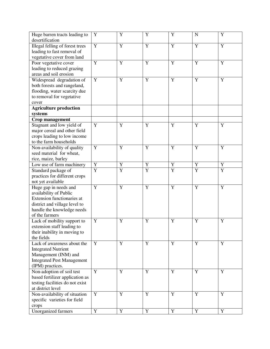| Huge barren tracts leading to     | Y                   | Y                   | Y                   | Y                   | $\mathbf N$                   | Y              |
|-----------------------------------|---------------------|---------------------|---------------------|---------------------|-------------------------------|----------------|
| desertification                   |                     |                     |                     |                     |                               |                |
| Illegal felling of forest trees   | Y                   | $\mathbf Y$         | $\mathbf Y$         | $\mathbf Y$         | Y                             | $\mathbf Y$    |
| leading to fast removal of        |                     |                     |                     |                     |                               |                |
| vegetative cover from land        |                     |                     |                     |                     |                               |                |
| Poor vegetative cover             | Y                   | Y                   | Y                   | Y                   | Y                             | Y              |
| leading to reduced grazing        |                     |                     |                     |                     |                               |                |
| areas and soil erosion            |                     |                     |                     |                     |                               |                |
| Widespread degradation of         | Y                   | $\mathbf Y$         | $\overline{Y}$      | $\mathbf Y$         | $\overline{Y}$                | $\mathbf Y$    |
| both forests and rangeland,       |                     |                     |                     |                     |                               |                |
| flooding, water scarcity due      |                     |                     |                     |                     |                               |                |
| to removal for vegetative         |                     |                     |                     |                     |                               |                |
| cover                             |                     |                     |                     |                     |                               |                |
| <b>Agriculture production</b>     |                     |                     |                     |                     |                               |                |
| systems                           |                     |                     |                     |                     |                               |                |
| Crop management                   |                     |                     |                     |                     |                               |                |
| Stagnant and low yield of         | Y                   | Y                   | Y                   | Y                   | Y                             | Y              |
| major cereal and other field      |                     |                     |                     |                     |                               |                |
| crops leading to low income       |                     |                     |                     |                     |                               |                |
| to the farm households            |                     |                     |                     |                     |                               |                |
| Non-availability of quality       | Y                   | Y                   | $\overline{Y}$      | Y                   | $\overline{Y}$                | $\overline{Y}$ |
| seed material for wheat,          |                     |                     |                     |                     |                               |                |
|                                   |                     |                     |                     |                     |                               |                |
| rice, maize, barley               |                     |                     |                     |                     |                               | Y              |
| Low use of farm machinery         | Y<br>$\overline{Y}$ | Y<br>$\overline{Y}$ | Y<br>$\overline{Y}$ | Y<br>$\overline{Y}$ | $\mathbf Y$<br>$\overline{Y}$ | $\overline{Y}$ |
| Standard package of               |                     |                     |                     |                     |                               |                |
| practices for different crops     |                     |                     |                     |                     |                               |                |
| not yet available                 |                     |                     |                     |                     |                               |                |
| Huge gap in needs and             | Y                   | Y                   | Y                   | Y                   | Y                             | Y              |
| availability of Public            |                     |                     |                     |                     |                               |                |
| Extension functionaries at        |                     |                     |                     |                     |                               |                |
| district and village level to     |                     |                     |                     |                     |                               |                |
| handle the knowledge needs        |                     |                     |                     |                     |                               |                |
| of the farmers                    |                     |                     |                     |                     |                               |                |
| Lack of mobility support to       | Y                   | Y                   | Y                   | Y                   | Y                             | Y              |
| extension staff leading to        |                     |                     |                     |                     |                               |                |
| their inability in moving to      |                     |                     |                     |                     |                               |                |
| the fields                        |                     |                     |                     |                     |                               |                |
| Lack of awareness about the       | Y                   | Y                   | Y                   | Y                   | Y                             | Y              |
| <b>Integrated Nutrient</b>        |                     |                     |                     |                     |                               |                |
| Management (INM) and              |                     |                     |                     |                     |                               |                |
| <b>Integrated Pest Management</b> |                     |                     |                     |                     |                               |                |
| (IPM) practices.                  |                     |                     |                     |                     |                               |                |
| Non-adoption of soil test         | Y                   | $\mathbf Y$         | $\mathbf Y$         | $\mathbf Y$         | Y                             | $\mathbf Y$    |
| based fertilizer application as   |                     |                     |                     |                     |                               |                |
| testing facilities do not exist   |                     |                     |                     |                     |                               |                |
| at district level                 |                     |                     |                     |                     |                               |                |
| Non-availability of situation     | Y                   | $\mathbf Y$         | Y                   | $\mathbf Y$         | Y                             | $\mathbf Y$    |
| specific varieties for field      |                     |                     |                     |                     |                               |                |
| crops                             |                     |                     |                     |                     |                               |                |
| <b>Unorganized farmers</b>        | $\mathbf Y$         | $\mathbf Y$         | Y                   | $\mathbf Y$         | Y                             | $\mathbf Y$    |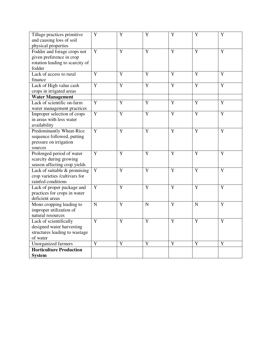| Tillage practices primitive<br>and causing loss of soil | Y              | $\overline{Y}$ | $\overline{Y}$ | Y              | Y              | $\overline{Y}$ |
|---------------------------------------------------------|----------------|----------------|----------------|----------------|----------------|----------------|
| physical properties                                     |                |                |                |                |                |                |
| Fodder and forage crops not                             | Y              | Y              | Y              | Y              | Y              | Y              |
| given preference in crop                                |                |                |                |                |                |                |
| rotation leading to scarcity of                         |                |                |                |                |                |                |
| fodder                                                  |                |                |                |                |                |                |
| Lack of access to rural                                 | Y              | $\overline{Y}$ | $\overline{Y}$ | Y              | $\overline{Y}$ | $\overline{Y}$ |
| finance                                                 |                |                |                |                |                |                |
| Lack of High value cash                                 | $\overline{Y}$ | $\overline{Y}$ | $\overline{Y}$ | $\overline{Y}$ | $\overline{Y}$ | $\overline{Y}$ |
| crops in irrigated areas                                |                |                |                |                |                |                |
| <b>Water Management</b>                                 |                |                |                |                |                |                |
| Lack of scientific on-farm                              | Y              | Y              | Y              | Y              | Y              | $\overline{Y}$ |
| water management practices                              |                |                |                |                |                |                |
| Improper selection of crops                             | $\overline{Y}$ | $\overline{Y}$ | $\overline{Y}$ | $\overline{Y}$ | $\overline{Y}$ | $\overline{Y}$ |
| in areas with less water                                |                |                |                |                |                |                |
| availability                                            |                |                |                |                |                |                |
| Predominantly Wheat-Rice                                | $\overline{Y}$ | $\overline{Y}$ | $\overline{Y}$ | $\overline{Y}$ | $\overline{Y}$ | $\overline{Y}$ |
| sequence followed, putting                              |                |                |                |                |                |                |
| pressure on irrigation                                  |                |                |                |                |                |                |
| sources                                                 |                |                |                |                |                |                |
| Prolonged period of water                               | $\mathbf Y$    | $\mathbf Y$    | $\mathbf Y$    | Y              | Y              | Y              |
| scarcity during growing                                 |                |                |                |                |                |                |
| season affecting crop yields                            |                |                |                |                |                |                |
| Lack of suitable & promising                            | $\mathbf Y$    | $\overline{Y}$ | Y              | $\overline{Y}$ | Y              | $\overline{Y}$ |
| crop varieties /cultivars for                           |                |                |                |                |                |                |
| rainfed conditions                                      |                |                |                |                |                |                |
| Lack of proper package and                              | Y              | Y              | Y              | Y              | Y              | Y              |
| practices for crops in water                            |                |                |                |                |                |                |
| deficient areas                                         |                |                |                |                |                |                |
| Mono cropping leading to                                | ${\bf N}$      | Y              | $\mathbf N$    | Y              | $\mathbf N$    | Y              |
| improper utilization of                                 |                |                |                |                |                |                |
| natural resources                                       |                |                |                |                |                |                |
| Lack of scientifically                                  | $\overline{Y}$ | $\overline{Y}$ | $\overline{Y}$ | $\overline{Y}$ | $\overline{Y}$ | $\overline{Y}$ |
| designed water harvesting                               |                |                |                |                |                |                |
| structures leading to wastage                           |                |                |                |                |                |                |
| of water                                                |                |                |                |                |                |                |
| Unorganized farmers                                     | Y              | Y              | Y              | Y              | Y              | Y              |
| <b>Horticulture Production</b>                          |                |                |                |                |                |                |
| <b>System</b>                                           |                |                |                |                |                |                |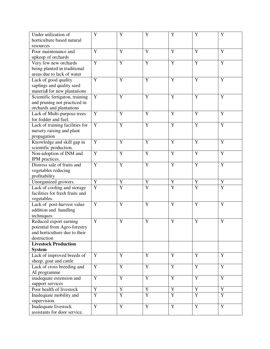| Under utilization of            | Y              | Y              | Y              | Y              | Y              | Y              |
|---------------------------------|----------------|----------------|----------------|----------------|----------------|----------------|
| horticulture based natural      |                |                |                |                |                |                |
| resources                       |                |                |                |                |                |                |
| Poor maintenance and            | Y              | Y              | Y              | Y              | Y              | Y              |
| upkeep of orchards              |                |                |                |                |                |                |
| Very few new orchards           | $\overline{Y}$ | $\overline{Y}$ | $\overline{Y}$ | $\overline{Y}$ | $\overline{Y}$ | $\overline{Y}$ |
| being planted in traditional    |                |                |                |                |                |                |
| areas due to lack of water      |                |                |                |                |                |                |
| Lack of good quality            | Y              | Y              | $\mathbf Y$    | Y              | Y              | Y              |
| saplings and quality seed       |                |                |                |                |                |                |
| material for new plantations    |                |                |                |                |                |                |
| Scientific fertigaton, training | Y              | Y              | Y              | Y              | Y              | $\mathbf Y$    |
| and pruning not practiced in    |                |                |                |                |                |                |
| orchards and plantations        |                |                |                |                |                |                |
| Lack of Multi-purpose trees     | Y              | Y              | Y              | Y              | Y              | Y              |
| for fodder and fuel.            |                |                |                |                |                |                |
| Lack of training facilities for | Y              | $\mathbf Y$    | Y              | Y              | $\mathbf Y$    | $\overline{Y}$ |
| nursery raising and plant       |                |                |                |                |                |                |
| propagation                     |                |                |                |                |                |                |
| Knowledge and skill gap in      | Y              | $\mathbf Y$    | Y              | Y              | Y              | Y              |
| scientific production.          |                |                |                |                |                |                |
| Non-adoption of INM and         | Y              | $\mathbf Y$    | $\mathbf Y$    | $\mathbf Y$    | Y              | $\mathbf Y$    |
| IPM practices.                  |                |                |                |                |                |                |
| Distress sale of fruits and     | Y              | $\mathbf Y$    | $\mathbf Y$    | Y              | Y              | $\mathbf Y$    |
| vegetables reducing             |                |                |                |                |                |                |
| profitability                   |                |                |                |                |                |                |
| Unorganized growers.            | Y              | Y              | $\mathbf Y$    | Y              | $\mathbf Y$    | Y              |
| Lack of cooling and storage     | $\overline{Y}$ | $\overline{Y}$ | $\overline{Y}$ | $\overline{Y}$ | $\overline{Y}$ | $\overline{Y}$ |
| facilities for fresh fruits and |                |                |                |                |                |                |
| vegetables.                     |                |                |                |                |                |                |
| Lack of post-harvest value      | Y              | $\mathbf Y$    | $\mathbf Y$    | Y              | Y              | Y              |
| addition and handling           |                |                |                |                |                |                |
|                                 |                |                |                |                |                |                |
| techniques                      | Y              | Y              | Y              | Y              | Y              | Y              |
| Reduced export earning          |                |                |                |                |                |                |
| potential from Agro-forestry    |                |                |                |                |                |                |
| and horticulture due to their   |                |                |                |                |                |                |
| destruction                     |                |                |                |                |                |                |
| <b>Livestock Production</b>     |                |                |                |                |                |                |
| <b>System</b>                   |                |                |                |                |                |                |
| Lack of improved breeds of      | Y              | Y              | Y              | Y              | Y              | $\overline{Y}$ |
| sheep, goat and cattle          |                |                |                |                |                |                |
| Lack of cross breeding and      | Y              | $\overline{Y}$ | Y              | $\overline{Y}$ | $\mathbf Y$    | $\overline{Y}$ |
| AI programme                    |                |                |                |                |                |                |
| inadequate extension and        | $\mathbf Y$    | $\mathbf Y$    | Y              | Y              | Y              | $\mathbf Y$    |
| support services                |                |                |                |                |                |                |
| Poor health of livestock        | Y              | Y              | Y              | Y              | Y              | $\mathbf Y$    |
| Inadequate mobility and         | $\overline{Y}$ | $\overline{Y}$ | $\overline{Y}$ | $\overline{Y}$ | $\overline{Y}$ | $\overline{Y}$ |
| supervision.                    |                |                |                |                |                |                |
| Inadequate livestock            | $\overline{Y}$ | $\overline{Y}$ | $\overline{Y}$ | $\overline{Y}$ | $\mathbf Y$    | $\overline{Y}$ |
| assistants for door service.    |                |                |                |                |                |                |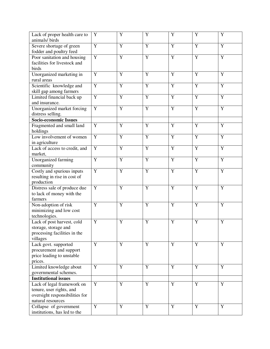| Lack of proper health care to<br>animals/birds                                                                | Y              | Y              | $\mathbf Y$    | Y              | Y              | Y              |
|---------------------------------------------------------------------------------------------------------------|----------------|----------------|----------------|----------------|----------------|----------------|
| Severe shortage of green<br>fodder and poultry feed                                                           | Y              | $\mathbf Y$    | Y              | Y              | Y              | Y              |
| Poor sanitation and housing<br>facilities for livestock and<br>birds                                          | Y              | $\overline{Y}$ | Y              | $\overline{Y}$ | $\overline{Y}$ | $\overline{Y}$ |
| Unorganized marketing in<br>rural areas                                                                       | Y              | Y              | $\mathbf Y$    | Y              | Y              | Y              |
| Scientific knowledge and<br>skill gap among farmers                                                           | $\mathbf Y$    | $\mathbf Y$    | $\mathbf Y$    | Y              | Y              | Y              |
| Limited financial back up<br>and insurance.                                                                   | Y              | Y              | Y              | Y              | Y              | Y              |
| Unorganized market forcing<br>distress selling.                                                               | $\mathbf Y$    | Y              | Y              | Y              | Y              | Y              |
| <b>Socio-economic Issues</b>                                                                                  |                |                |                |                |                |                |
| Fragmented and small land<br>holdings                                                                         | Y              | Y              | Y              | Y              | Y              | Y              |
| Low involvement of women<br>in agriculture                                                                    | $\overline{Y}$ | $\overline{Y}$ | $\overline{Y}$ | $\overline{Y}$ | $\overline{Y}$ | $\overline{Y}$ |
| Lack of access to credit, and<br>market,                                                                      | $\mathbf Y$    | Y              | $\mathbf Y$    | $\mathbf Y$    | Y              | Y              |
| Unorganized farming<br>community                                                                              | Y              | Y              | Y              | Y              | Y              | Y              |
| Costly and spurious inputs<br>resulting in rise in cost of<br>production                                      | Y              | Y              | Y              | Y              | Y              | Y              |
| Distress sale of produce due<br>to lack of money with the<br>farmers                                          | Y              | Y              | Y              | Y              | Y              | Y              |
| Non-adoption of risk<br>minimizing and low cost<br>technologies.                                              | Y              | Y              | Y              | Y              | Y              | Y              |
| Lack of post harvest, cold<br>storage, storage and<br>processing facilities in the<br>villages                | Y              | Y              | Y              | Y              | Y              | Y              |
| Lack govt. supported<br>procurement and support<br>price leading to unstable<br>prices.                       | Y              | $\mathbf Y$    | Y              | Y              | Y              | $\mathbf Y$    |
| Limited knowledge about<br>governmental schemes.                                                              | Y              | Y              | Y              | Y              | Y              | $\overline{Y}$ |
| <b>Institutional issues</b>                                                                                   |                |                |                |                |                |                |
| Lack of legal framework on<br>tenure, user rights, and<br>oversight responsibilities for<br>natural resources | Y              | $\mathbf Y$    | Y              | Y              | Y              | Y              |
| Collapse of government<br>institutions, has led to the                                                        | $\mathbf Y$    | $\mathbf Y$    | $\mathbf Y$    | $\mathbf Y$    | $\mathbf Y$    | Y              |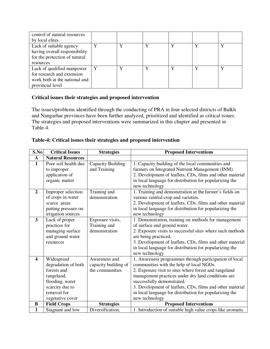| control of natural resources<br>by local elites                                                               |  |             |   |
|---------------------------------------------------------------------------------------------------------------|--|-------------|---|
| Lack of suitable agency<br>having overall responsibility<br>for the protection of natural<br>resources        |  | $\mathbf v$ | v |
| Lack of qualified manpower<br>for research and extension<br>work both at the national and<br>provincial level |  | $\bf{v}$    |   |

# **Critical issues their strategies and proposed intervention**

The issues/problems identified through the conducting of PRA in four selected districts of Balkh and Nangarhar provinces have been further analyzed, prioritized and identified as critical issues. The strategies and proposed interventions were summarized in this chapter and presented in Table-4.

|  |  |  |  |  |  |  | Table-4: Critical issues their strategies and proposed intervention |
|--|--|--|--|--|--|--|---------------------------------------------------------------------|
|--|--|--|--|--|--|--|---------------------------------------------------------------------|

| S.No                    | <b>Critical Issues</b>                                                                                                                  | <b>Strategies</b>                                        | <b>Proposed Interventions</b>                                                                                                                                                                                                                                                                                                                                                             |
|-------------------------|-----------------------------------------------------------------------------------------------------------------------------------------|----------------------------------------------------------|-------------------------------------------------------------------------------------------------------------------------------------------------------------------------------------------------------------------------------------------------------------------------------------------------------------------------------------------------------------------------------------------|
| $\mathbf{A}$            | <b>Natural Resources</b>                                                                                                                |                                                          |                                                                                                                                                                                                                                                                                                                                                                                           |
| $\mathbf{1}$            | Poor soil health due<br>to improper<br>application of<br>organic matter                                                                 | Capacity Building<br>and Training                        | 1. Capacity building of the local communities and<br>farmers on Integrated Nutrient Management (INM).<br>2. Development of leaflets, CDs, films and other material<br>in local language for distribution for popularizing the<br>new technology                                                                                                                                           |
| $\overline{2}$          | Improper selection<br>of crops in water<br>scarce areas<br>putting pressure on<br>irrigation sources                                    | Training and<br>demonstration                            | 1. Training and demonstration at the farmer's fields on<br>various rainfed crop and varieties.<br>2. Development of leaflets, CDs, films and other material<br>in local language for distribution for popularizing the<br>new technology                                                                                                                                                  |
| 3                       | Lack of proper<br>practices for<br>managing surface<br>and ground water<br>resources                                                    | Exposure visits,<br>Training and<br>demonstration        | 1. Demonstration, training on methods for management<br>of surface and ground water.<br>2. Exposure visits to successful sites where such methods<br>are being practiced.<br>3. Development of leaflets, CDs, films and other material<br>in local language for distribution for popularizing the<br>new technology                                                                       |
| $\overline{\mathbf{4}}$ | Widespread<br>degradation of both<br>forests and<br>rangeland,<br>flooding, water<br>scarcity due to<br>removal for<br>vegetative cover | Awareness and<br>capacity building of<br>the communities | 1. Awareness programmes through participation of local<br>communities with the help of local NGOs.<br>2. Exposure visit to sites where forest and rangeland<br>management practices under dry land conditions are<br>successfully demonstrated.<br>3. Development of leaflets, CDs, films and other material<br>in local language for distribution for popularizing the<br>new technology |
| $\bf{B}$                | <b>Field Crops</b>                                                                                                                      | <b>Strategies</b>                                        | <b>Proposed Interventions</b>                                                                                                                                                                                                                                                                                                                                                             |
| $\mathbf{1}$            | Stagnant and low                                                                                                                        | Diversification,                                         | 1. Introduction of suitable high value crops like aromatic                                                                                                                                                                                                                                                                                                                                |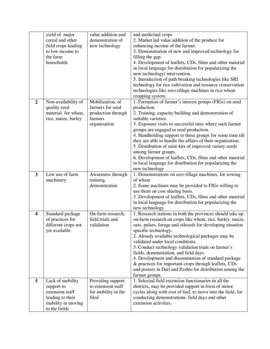|                         | yield of major<br>cereal and other<br>field crops leading<br>to low income to<br>the farm<br>households       | value addition and<br>demonstration of<br>new technology                              | and medicinal crops<br>2. Market led value addition of the produce for<br>enhancing income of the farmer.<br>3. Demonstration of new and improved technology for<br>filling the gap.<br>4. Development of leaflets, CDs, films and other material<br>in local language for distribution for popularizing the                                                                                                                                                                                                                                                                                                      |
|-------------------------|---------------------------------------------------------------------------------------------------------------|---------------------------------------------------------------------------------------|-------------------------------------------------------------------------------------------------------------------------------------------------------------------------------------------------------------------------------------------------------------------------------------------------------------------------------------------------------------------------------------------------------------------------------------------------------------------------------------------------------------------------------------------------------------------------------------------------------------------|
|                         |                                                                                                               |                                                                                       | new technology/ intervention.<br>5. Introduction of path breaking technologies like SRI<br>technology for rice cultivation and resource conservation<br>technologies like zero-tillage machines in rice wheat<br>cropping system.                                                                                                                                                                                                                                                                                                                                                                                 |
| $\overline{2}$          | Non-availability of<br>quality seed<br>material for wheat,<br>rice, maize, barley                             | Mobilization, of<br>farmers for seed<br>production through<br>farmers<br>organization | 1. Formation of farmer's interest groups (FIGs) on seed<br>production.<br>2. Training, capacity building and demonstration of<br>suitable varieties.<br>3. Exposure visits to successful sites where such farmer<br>groups are engaged in seed production.<br>4. Handholding support to these groups for some time till<br>they are able to handle the affairs of their organization.<br>5. Distribution of mini-kits of improved variety seeds<br>among farmer groups.<br>6. Development of leaflets, CDs, films and other material<br>in local language for distribution for popularizing the<br>new technology |
| $\mathbf{3}$            | Low use of farm<br>machinery                                                                                  | Awareness through<br>training,<br>demonstration                                       | 1. Demonstrations on zero tillage machines, for sowing<br>of wheat<br>2. Some machines may be provided to FIGs willing to<br>use them on cost sharing basis.<br>3. Development of leaflets, CDs, films and other material<br>in local language for distribution for popularizing the<br>new technology                                                                                                                                                                                                                                                                                                            |
| $\overline{\mathbf{4}}$ | Standard package<br>of practices for<br>different crops not<br>yet available                                  | On-farm research,<br>field trials and<br>validation                                   | 1. Research stations in both the provinces should take up<br>on-farm research on crops like wheat, rice, barley, maize,<br>oats, pulses, forage and oilseeds for developing situation<br>specific technology.<br>2. Already available technological packages may be<br>validated under local conditions.<br>3. Conduct technology validation trials on farmer's<br>fields, demonstration, and field days.<br>4. Development and dissemination of standard package<br>& practices for important crops through leaflets, CDs<br>and posters in Dari and Pashto for distribution among the<br>farmer groups.         |
| 5                       | Lack of mobility<br>support to<br>extension staff<br>leading to their<br>inability in moving<br>to the fields | Providing support<br>to extension staff<br>for mobility in the<br>filed               | 1. Selected field extension functionaries in all the<br>districts, may be provided support in form of motor<br>cycles along with cost of fuel, to move into the field, for<br>conducting demonstrations, field days and other<br>extension activities.                                                                                                                                                                                                                                                                                                                                                            |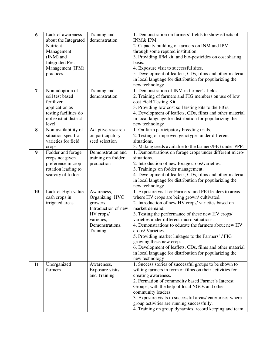| 6  | Lack of awareness                | Training and               | 1. Demonstration on farmers' fields to show effects of                                            |
|----|----------------------------------|----------------------------|---------------------------------------------------------------------------------------------------|
|    | about the Integrated             | demonstration              | <b>INM&amp; IPM.</b>                                                                              |
|    | Nutrient                         |                            | 2. Capacity building of farmers on INM and IPM                                                    |
|    | Management<br>(INM) and          |                            | through some reputed institution.<br>3. Providing IPM kit, and bio-pesticides on cost sharing     |
|    | <b>Integrated Pest</b>           |                            | basis.                                                                                            |
|    | Management (IPM)                 |                            | 4. Exposure visit to successful sites.                                                            |
|    | practices.                       |                            | 5. Development of leaflets, CDs, films and other material                                         |
|    |                                  |                            | in local language for distribution for popularizing the                                           |
|    |                                  |                            | new technology                                                                                    |
| 7  | Non-adoption of                  | Training and               | 1. Demonstration of INM in farmer's fields.                                                       |
|    | soil test based                  | demonstration              | 2. Training of farmers and FIG members on use of low                                              |
|    | fertilizer                       |                            | cost Field Testing Kit.                                                                           |
|    | application as                   |                            | 3. Providing low cost soil testing kits to the FIGs.                                              |
|    | testing facilities do            |                            | 4. Development of leaflets, CDs, films and other material                                         |
|    | not exist at district            |                            | in local language for distribution for popularizing the                                           |
|    | level                            |                            | new technology                                                                                    |
| 8  | Non-availability of              | Adaptive research          | 1. On-farm participatory breeding trials.                                                         |
|    | situation specific               | on participatory           | 2. Testing of improved genotypes under different                                                  |
|    | varieties for field              | seed selection             | situations.                                                                                       |
|    | crops                            |                            | 3. Making seeds available to the farmers/FIG under PPP.                                           |
| 9  | Fodder and forage                | Demonstration and          | 1. Demonstrations on forage crops under different micro-                                          |
|    | crops not given                  | training on fodder         | situations.                                                                                       |
|    | preference in crop               | production                 | 2. Introduction of new forage crops/varieties.                                                    |
|    | rotation leading to              |                            | 3. Trainings on fodder management.                                                                |
|    | scarcity of fodder               |                            | 4. Development of leaflets, CDs, films and other material                                         |
|    |                                  |                            | in local language for distribution for popularizing the                                           |
|    |                                  |                            | new technology                                                                                    |
| 10 | Lack of High value               | Awareness,                 | 1. Exposure visit for Farmers' and FIG leaders to areas                                           |
|    | cash crops in<br>irrigated areas | Organizing HVC<br>growers, | where HV crops are being grown/ cultivated.<br>2. Introduction of new HV crops/varieties based on |
|    |                                  | Introduction of new        | market demand.                                                                                    |
|    |                                  | HV crops/                  | 3. Testing the performance of these new HV crops/                                                 |
|    |                                  | varieties,                 | varieties under different micro-situations.                                                       |
|    |                                  | Demonstrations,            | 4. Demonstrations to educate the farmers about new HV                                             |
|    |                                  | Training                   | crops/Varieties.                                                                                  |
|    |                                  |                            | 5. Providing market linkages to the Farmers' / FIG                                                |
|    |                                  |                            | growing these new crops.                                                                          |
|    |                                  |                            | 6. Development of leaflets, CDs, films and other material                                         |
|    |                                  |                            | in local language for distribution for popularizing the                                           |
|    |                                  |                            | new technology                                                                                    |
| 11 | Unorganized                      | Awareness,                 | 1. Success stories of successful groups to be shown to                                            |
|    | farmers                          | Exposure visits,           | willing farmers in form of films on their activities for                                          |
|    |                                  | and Training               | creating awareness.                                                                               |
|    |                                  |                            | 2. Formation of commodity based Farmer's Interest                                                 |
|    |                                  |                            | Groups, with the help of local NGOs and other                                                     |
|    |                                  |                            | community leaders.                                                                                |
|    |                                  |                            | 3. Exposure visits to successful areas/ enterprises where                                         |
|    |                                  |                            | group activities are running successfully.                                                        |
|    |                                  |                            | 4. Training on group dynamics, record keeping and team                                            |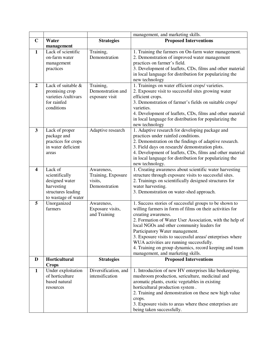|                         |                                                                                                        |                                                              | management, and marketing skills.                                                                                                                                                                                                                                                                                                                                                                                                                                                              |
|-------------------------|--------------------------------------------------------------------------------------------------------|--------------------------------------------------------------|------------------------------------------------------------------------------------------------------------------------------------------------------------------------------------------------------------------------------------------------------------------------------------------------------------------------------------------------------------------------------------------------------------------------------------------------------------------------------------------------|
| $\mathbf C$             | Water                                                                                                  | <b>Strategies</b>                                            | <b>Proposed Interventions</b>                                                                                                                                                                                                                                                                                                                                                                                                                                                                  |
|                         | management                                                                                             |                                                              |                                                                                                                                                                                                                                                                                                                                                                                                                                                                                                |
| $\mathbf{1}$            | Lack of scientific<br>on-farm water<br>management<br>practices                                         | Training,<br>Demonstration                                   | 1. Training the farmers on On-farm water management.<br>2. Demonstration of improved water management<br>practices on farmer's field.<br>3. Development of leaflets, CDs, films and other material<br>in local language for distribution for popularizing the<br>new technology                                                                                                                                                                                                                |
| $\overline{2}$          | Lack of suitable &<br>promising crop<br>varieties /cultivars<br>for rainfed<br>conditions              | Training,<br>Demonstration and<br>exposure visit             | 1. Trainings on water efficient crops/varieties.<br>2. Exposure visit to successful sites growing water<br>efficient crops.<br>3. Demonstration of farmer's fields on suitable crops/<br>varieties.<br>4. Development of leaflets, CDs, films and other material<br>in local language for distribution for popularizing the<br>new technology                                                                                                                                                  |
| 3                       | Lack of proper<br>package and<br>practices for crops<br>in water deficient<br>areas                    | Adaptive research                                            | 1. Adaptive research for developing package and<br>practices under rainfed conditions.<br>2. Demonstration on the findings of adaptive research.<br>3. Field days on research/ demonstration plots.<br>4. Development of leaflets, CDs, films and other material<br>in local language for distribution for popularizing the<br>new technology.                                                                                                                                                 |
| $\overline{\mathbf{4}}$ | Lack of<br>scientifically<br>designed water<br>harvesting<br>structures leading<br>to wastage of water | Awareness,<br>Training, Exposure<br>visits,<br>Demonstration | 1. Creating awareness about scientific water harvesting<br>structure through exposure visits to successful sites.<br>2. Trainings on scientifically designed structures for<br>water harvesting.<br>3. Demonstration on water-shed approach.                                                                                                                                                                                                                                                   |
| 5                       | Unorganized<br>farmers                                                                                 | Awareness,<br>Exposure visits,<br>and Training               | 1. Success stories of successful groups to be shown to<br>willing farmers in form of films on their activities for<br>creating awareness.<br>2. Formation of Water User Association, with the help of<br>local NGOs and other community leaders for<br>Participatory Water management.<br>3. Exposure visits to successful areas/ enterprises where<br>WUA activities are running successfully.<br>4. Training on group dynamics, record keeping and team<br>management, and marketing skills. |
| D                       | Horticultural<br><b>Crops</b>                                                                          | <b>Strategies</b>                                            | <b>Proposed Interventions</b>                                                                                                                                                                                                                                                                                                                                                                                                                                                                  |
| $\mathbf{1}$            | Under exploitation<br>of horticulture<br>based natural<br>resources                                    | Diversification, and<br>intensification                      | 1. Introduction of new HV enterprises like beekeeping,<br>mushroom production, sericulture, medicinal and<br>aromatic plants, exotic vegetables in existing<br>horticultural production system.<br>2. Training and demonstration on these new high value<br>crops.<br>3. Exposure visits to areas where these enterprises are<br>being taken successfully.                                                                                                                                     |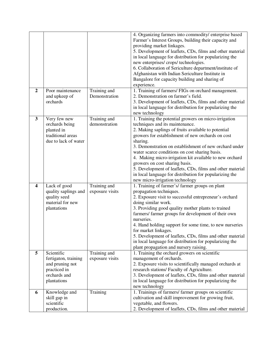|                         |                                                                                                      |                                 | 4. Organizing farmers into commodity/ enterprise based<br>Farmer's Interest Groups, building their capacity and<br>providing market linkages.<br>5. Development of leaflets, CDs, films and other material<br>in local language for distribution for popularizing the<br>new enterprises/ crops/ technologies.<br>6. Collaboration of Sericulture department/institute of<br>Afghanistan with Indian Sericulture Institute in<br>Bangalore for capacity building and sharing of<br>experience.                                                                                       |
|-------------------------|------------------------------------------------------------------------------------------------------|---------------------------------|--------------------------------------------------------------------------------------------------------------------------------------------------------------------------------------------------------------------------------------------------------------------------------------------------------------------------------------------------------------------------------------------------------------------------------------------------------------------------------------------------------------------------------------------------------------------------------------|
| $\overline{2}$          | Poor maintenance<br>and upkeep of<br>orchards                                                        | Training and<br>Demonstration   | 1. Training of farmers/ FIGs on orchard management.<br>2. Demonstration on farmer's field.<br>3. Development of leaflets, CDs, films and other material<br>in local language for distribution for popularizing the<br>new technology                                                                                                                                                                                                                                                                                                                                                 |
| $\mathbf{3}$            | Very few new<br>orchards being<br>planted in<br>traditional areas<br>due to lack of water            | Training and<br>demonstration   | 1. Training the potential growers on micro-irrigation<br>techniques and its maintenance.<br>2. Making saplings of fruits available to potential<br>growers for establishment of new orchards on cost<br>sharing.<br>3. Demonstration on establishment of new orchard under<br>water scarce conditions on cost sharing basis.<br>4. Making micro-irrigation kit available to new orchard<br>growers on cost sharing basis.<br>5. Development of leaflets, CDs, films and other material<br>in local language for distribution for popularizing the<br>new micro-irrigation technology |
| $\overline{\mathbf{4}}$ | Lack of good<br>quality saplings and<br>quality seed<br>material for new<br>plantations              | Training and<br>exposure visits | 1. Training of farmer's/farmer groups on plant<br>propagation techniques.<br>2. Exposure visit to successful entrepreneur's orchard<br>doing similar work.<br>3. Providing good quality mother plants to trained<br>farmers/ farmer groups for development of their own<br>nurseries.<br>4. Hand holding support for some time, to new nurseries<br>for market linkages.<br>5. Development of leaflets, CDs, films and other material<br>in local language for distribution for popularizing the<br>plant propagation and nursery raising.                                           |
| 5                       | Scientific<br>fertigaton, training<br>and pruning not<br>practiced in<br>orchards and<br>plantations | Training and<br>exposure visits | 1. Training the orchard growers on scientific<br>management of orchards.<br>2. Exposure visits to scientifically managed orchards at<br>research stations/ Faculty of Agriculture.<br>3. Development of leaflets, CDs, films and other material<br>in local language for distribution for popularizing the<br>new technology                                                                                                                                                                                                                                                         |
| 6                       | Knowledge and<br>skill gap in<br>scientific<br>production.                                           | Training                        | 1. Trainings of farmers/ farmer groups on scientific<br>cultivation and skill improvement for growing fruit,<br>vegetable, and flowers.<br>2. Development of leaflets, CDs, films and other material                                                                                                                                                                                                                                                                                                                                                                                 |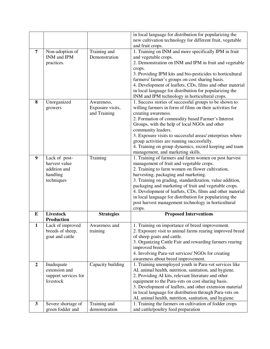|                |                                        |                               | in local language for distribution for popularizing the                                       |
|----------------|----------------------------------------|-------------------------------|-----------------------------------------------------------------------------------------------|
|                |                                        |                               | new cultivation technology for different fruit, vegetable                                     |
|                |                                        |                               | and fruit crops.                                                                              |
| $\overline{7}$ | Non-adoption of                        | Training and                  | 1. Training on INM and more specifically IPM in fruit                                         |
|                | INM and IPM                            | Demonstration                 | and vegetable crops.                                                                          |
|                | practices.                             |                               | 2. Demonstration on INM and IPM in fruit and vegetable                                        |
|                |                                        |                               | crops.                                                                                        |
|                |                                        |                               | 3. Providing IPM kits and bio-pesticides to horticultural                                     |
|                |                                        |                               | farmers/ farmer's groups on cost sharing basis.                                               |
|                |                                        |                               | 4. Development of leaflets, CDs, films and other material                                     |
|                |                                        |                               | in local language for distribution for popularizing the                                       |
|                |                                        |                               | INM and IPM technology in horticultural crops.                                                |
| 8              | Unorganized                            | Awareness,                    | 1. Success stories of successful groups to be shown to                                        |
|                | growers                                | Exposure visits,              | willing farmers in form of films on their activities for                                      |
|                |                                        | and Training                  | creating awareness.                                                                           |
|                |                                        |                               | 2. Formation of commodity based Farmer's Interest                                             |
|                |                                        |                               | Groups, with the help of local NGOs and other                                                 |
|                |                                        |                               | community leaders.                                                                            |
|                |                                        |                               | 3. Exposure visits to successful areas/ enterprises where                                     |
|                |                                        |                               | group activities are running successfully.                                                    |
|                |                                        |                               | 4. Training on group dynamics, record keeping and team                                        |
|                |                                        |                               | management, and marketing skills.                                                             |
| 9              | Lack of post-                          | Training                      | 1. Training of farmers and farm women on post harvest                                         |
|                | harvest value                          |                               | management of fruit and vegetable crops.                                                      |
|                | addition and                           |                               | 2. Training to farm women on flower cultivation,                                              |
|                | handling                               |                               | harvesting, packaging and marketing.                                                          |
|                | techniques                             |                               | 3. Training on grading, standardization, value addition,                                      |
|                |                                        |                               | packaging and marketing of fruit and vegetable crops.                                         |
|                |                                        |                               | 4. Development of leaflets, CDs, films and other material                                     |
|                |                                        |                               | in local language for distribution for popularizing the                                       |
|                |                                        |                               | post harvest management technology in horticultural                                           |
|                |                                        |                               | crops.                                                                                        |
| E              | <b>Livestock</b>                       | <b>Strategies</b>             | <b>Proposed Interventions</b>                                                                 |
|                | <b>Production</b>                      |                               |                                                                                               |
| $\mathbf{1}$   | Lack of improved                       | Awareness and                 | 1. Training on importance of breed improvement.                                               |
|                | breeds of sheep,                       | training                      | 2. Exposure visit to animal farms rearing improved breed                                      |
|                | goat and cattle                        |                               | of sheep goats and cattle.                                                                    |
|                |                                        |                               | 3. Organizing Cattle Fair and rewarding farmers rearing                                       |
|                |                                        |                               | improved breeds.                                                                              |
|                |                                        |                               | 4. Involving Para-vet services/ NGOs for creating                                             |
|                |                                        |                               | awareness about breed improvement.                                                            |
| $\overline{2}$ | Inadequate                             | Capacity building             | 1. Training unemployed youth in Para-vet services like                                        |
|                | extension and                          |                               | AI, animal health, nutrition, sanitation, and hygiene.                                        |
|                | support services for                   |                               | 2. Providing AI kits, relevant literature and other                                           |
|                | livestock                              |                               | equipment to the Para-vets on cost sharing basis.                                             |
|                |                                        |                               | 3. Development of leaflets, and other extension material                                      |
|                |                                        |                               | in local language for distribution through Para-vets on                                       |
|                |                                        |                               | AI, animal health, nutrition, sanitation, and hygiene.                                        |
| $\mathbf{3}$   |                                        |                               |                                                                                               |
|                |                                        |                               |                                                                                               |
|                | Severe shortage of<br>green fodder and | Training and<br>demonstration | 1. Training the farmers on cultivation of fodder crops<br>and cattle/poultry feed preparation |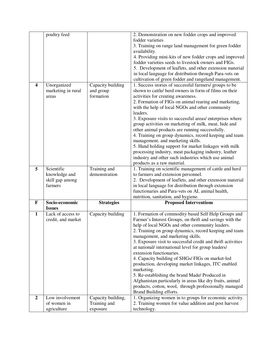|                         | poultry feed               |                               | 2. Demonstration on new fodder crops and improved                                                              |
|-------------------------|----------------------------|-------------------------------|----------------------------------------------------------------------------------------------------------------|
|                         |                            |                               | fodder varieties                                                                                               |
|                         |                            |                               | 3. Training on range land management for green fodder                                                          |
|                         |                            |                               | availability.                                                                                                  |
|                         |                            |                               | 4. Providing mini-kits of new fodder crops and improved                                                        |
|                         |                            |                               | fodder varieties seeds to livestock owners and FIGs.                                                           |
|                         |                            |                               | 5. Development of leaflets, and other extension material                                                       |
|                         |                            |                               | in local language for distribution through Para-vets on                                                        |
|                         |                            |                               | cultivation of green fodder and rangeland management.                                                          |
| $\overline{\mathbf{4}}$ | Unorganized                | Capacity building             | 1. Success stories of successful farmers/ groups to be                                                         |
|                         | marketing in rural         | and group                     | shown to cattle/ herd owners in form of films on their                                                         |
|                         | areas                      | formation                     | activities for creating awareness.                                                                             |
|                         |                            |                               |                                                                                                                |
|                         |                            |                               | 2. Formation of FIGs on animal rearing and marketing,                                                          |
|                         |                            |                               | with the help of local NGOs and other community<br>leaders.                                                    |
|                         |                            |                               |                                                                                                                |
|                         |                            |                               | 3. Exposure visits to successful areas/ enterprises where                                                      |
|                         |                            |                               | group activities on marketing of milk, meat, hide and                                                          |
|                         |                            |                               | other animal products are running successfully.                                                                |
|                         |                            |                               | 4. Training on group dynamics, record keeping and team                                                         |
|                         |                            |                               | management, and marketing skills.                                                                              |
|                         |                            |                               | 5. Hand holding support for market linkages with milk<br>processing industry, meat packaging industry, leather |
|                         |                            |                               |                                                                                                                |
|                         |                            |                               | industry and other such industries which use animal                                                            |
| 5                       | Scientific                 |                               | products as a raw material.                                                                                    |
|                         | knowledge and              | Training and<br>demonstration | 1. Training on scientific management of cattle and herd<br>to farmers and extension personnel.                 |
|                         |                            |                               |                                                                                                                |
|                         |                            |                               |                                                                                                                |
|                         | skill gap among            |                               | 2. Development of leaflets, and other extension material                                                       |
|                         | farmers                    |                               | in local language for distribution through extension                                                           |
|                         |                            |                               | functionaries and Para-vets on AI, animal health,                                                              |
|                         |                            |                               | nutrition, sanitation, and hygiene.                                                                            |
| $\mathbf{F}$            | Socio-economic             | <b>Strategies</b>             | <b>Proposed Interventions</b>                                                                                  |
|                         | <b>Issues</b>              |                               |                                                                                                                |
| $\mathbf{1}$            | Lack of access to          | Capacity building             | 1. Formation of commodity based Self Help Groups and                                                           |
|                         | credit, and market         |                               | Farmer's Interest Groups, on thrift and savings with the                                                       |
|                         |                            |                               | help of local NGOs and other community leaders.                                                                |
|                         |                            |                               | 2. Training on group dynamics, record keeping and team                                                         |
|                         |                            |                               | management, and marketing skills.                                                                              |
|                         |                            |                               | 3. Exposure visit to successful credit and thrift activities                                                   |
|                         |                            |                               | at national/international level for group leaders/                                                             |
|                         |                            |                               | extension functionaries.                                                                                       |
|                         |                            |                               | 4. Capacity building of SHGs/ FIGs on market-led                                                               |
|                         |                            |                               | production, developing market linkages, ITC enabled                                                            |
|                         |                            |                               | marketing.                                                                                                     |
|                         |                            |                               | 5. Re-establishing the brand Made/ Produced in                                                                 |
|                         |                            |                               | Afghanistan particularly in areas like dry fruits, animal                                                      |
|                         |                            |                               | products, cotton, wool, through professionally managed                                                         |
|                         |                            |                               | Brand Building efforts.                                                                                        |
| $\boldsymbol{2}$        | Low involvement            | Capacity building,            | 1. Organizing women in to groups for economic activity.                                                        |
|                         | of women in<br>agriculture | Training and<br>exposure      | 2. Training women for value addition and post harvest<br>technology.                                           |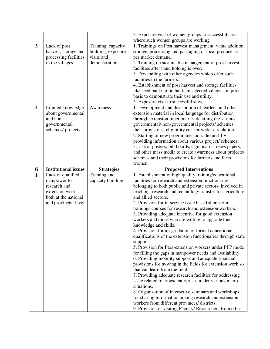|                         |                             |                    | 3. Exposure visit of women groups to successful areas                                                              |
|-------------------------|-----------------------------|--------------------|--------------------------------------------------------------------------------------------------------------------|
|                         |                             |                    | where such women groups are working                                                                                |
| $\mathbf{3}$            | Lack of post                | Training, capacity | 1. Trainings on Post harvest management, value addition,                                                           |
|                         | harvest, storage and        | building, exposure | storage, processing and packaging of local produce as                                                              |
|                         | processing facilities       | visits and         | per market demand.                                                                                                 |
|                         | in the villages             | demonstration      | 2. Training on sustainable management of post harvest                                                              |
|                         |                             |                    | facilities after hand holding is over.                                                                             |
|                         |                             |                    | 3. Dovetailing with other agencies which offer such                                                                |
|                         |                             |                    | facilities to the farmers.                                                                                         |
|                         |                             |                    | 4. Establishment of post harvest and storage facilities                                                            |
|                         |                             |                    | like seed bank/ grain bank, in selected villages on pilot                                                          |
|                         |                             |                    | basis to demonstrate their use and utility.                                                                        |
|                         |                             |                    | 5. Exposure visit to successful sites.                                                                             |
| $\overline{\mathbf{4}}$ | Limited knowledge           | Awareness          | 1. Development and distribution of leaflets, and other                                                             |
|                         | about governmental          |                    | extension material in local language for distribution                                                              |
|                         | and non-                    |                    | through extension functionaries detailing the various                                                              |
|                         | governmental                |                    | governmental/ non-governmental projects/ schemes,                                                                  |
|                         | schemes/ projects.          |                    | their provisions, eligibility etc. for wider circulation.                                                          |
|                         |                             |                    | 2. Starting of new programmes on radio and TV                                                                      |
|                         |                             |                    | providing information about various project/ schemes.                                                              |
|                         |                             |                    | 3. Use of posters, bill boards, sign boards, news papers,                                                          |
|                         |                             |                    | and other mass media to create awareness about projects/                                                           |
|                         |                             |                    | schemes and their provisions for farmers and farm                                                                  |
|                         |                             |                    | women.                                                                                                             |
| G                       | <b>Institutional issues</b> | <b>Strategies</b>  | <b>Proposed Interventions</b>                                                                                      |
|                         |                             |                    |                                                                                                                    |
| $\mathbf{1}$            | Lack of qualified           | Training and       | 1. Establishment of high quality training/educational                                                              |
|                         | manpower for                | capacity building  | facilities for research and extension functionaries                                                                |
|                         | research and                |                    | belonging to both public and private sectors, involved in                                                          |
|                         | extension work              |                    | teaching, research and technology transfer for agriculture                                                         |
|                         | both at the national        |                    | and allied sectors.                                                                                                |
|                         | and provincial level        |                    | 2. Provision for in-service issue based short term                                                                 |
|                         |                             |                    | trainings courses for research and extension workers.                                                              |
|                         |                             |                    | 3. Providing adequate incentive for good extension                                                                 |
|                         |                             |                    | workers and those who are willing to upgrade their                                                                 |
|                         |                             |                    | knowledge and skills.                                                                                              |
|                         |                             |                    | 4. Provision for up-gradation of formal educational                                                                |
|                         |                             |                    | qualifications of the extension functionaries through state                                                        |
|                         |                             |                    | support.                                                                                                           |
|                         |                             |                    | 5. Provision for Para-extension workers under PPP mode<br>for filling the gaps in manpower needs and availability. |
|                         |                             |                    |                                                                                                                    |
|                         |                             |                    | 6. Providing mobility support and adequate financial<br>provisions for moving in the fields for extension work so  |
|                         |                             |                    | that can learn from the field.                                                                                     |
|                         |                             |                    | 7. Providing adequate research facilities for addressing                                                           |
|                         |                             |                    | issue related to crops/ enterprises under various micro                                                            |
|                         |                             |                    | situations.                                                                                                        |
|                         |                             |                    | 8. Organization of interactive seminars and workshops                                                              |
|                         |                             |                    | for sharing information among research and extension                                                               |
|                         |                             |                    | workers from different provinces/ districts.                                                                       |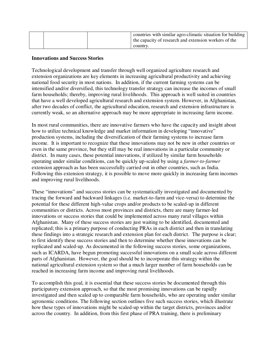|  |  | countries with similar agro-climatic situation for building<br>the capacity of research and extension workers of the<br>country. |
|--|--|----------------------------------------------------------------------------------------------------------------------------------|
|--|--|----------------------------------------------------------------------------------------------------------------------------------|

#### **Innovations and Success Stories**

Technological development and transfer through well organized agriculture research and extension organizations are key elements in increasing agricultural productivity and achieving national food security in most nations. In addition, if the current farming systems can be intensified and/or diversified, this technology transfer strategy can increase the incomes of small farm households; thereby, improving rural livelihoods. This approach is well suited in countries that have a well developed agricultural research and extension system. However, in Afghanistan, after two decades of conflict, the agricultural education, research and extension infrastructure is currently weak, so an alternative approach may be more appropriate in increasing farm income.

In most rural communities, there are innovative farmers who have the capacity and insight about how to utilize technical knowledge and market information in developing "innovative" production systems, including the diversification of their farming systems to increase farm income. It is important to recognize that these innovations may not be new in other countries or even in the same province, but they still may be real innovations in a particular community or district. In many cases, these potential innovations, if utilized by similar farm households operating under similar conditions, can be quickly up-scaled by using a *farmer-to-farmer* extension approach as has been successfully carried out in other countries, such as India. Following this extension strategy, it is possible to move more quickly in increasing farm incomes and improving rural livelihoods.

These "innovations" and success stories can be systematically investigated and documented by tracing the forward and backward linkages (i.e. market-to-farm and vice-versa) to determine the potential for these different high-value crops and/or products to be scaled-up in different communities or districts. Across most provinces and districts, there are many farmer-led innovations or success stories that could be implemented across many rural villages within Afghanistan. Many of these success stories are just waiting to be identified, documented and replicated; this is a primary purpose of conducting PRAs in each district and then in translating these findings into a strategic research and extension plan for each district. The purpose is clear; to first identify these success stories and then to determine whether these innovations can be replicated and scaled-up. As documented in the following success stories, some organizations, such as ICARDA, have begun promoting successful innovations on a small scale across different parts of Afghanistan. However, the goal should be to incorporate this strategy within the national agricultural extension system so that a much larger number of farm households can be reached in increasing farm income and improving rural livelihoods.

To accomplish this goal, it is essential that these success stories be documented through this participatory extension approach, so that the most promising innovations can be rapidly investigated and then scaled up to comparable farm households, who are operating under similar agronomic conditions. The following section outlines five such success stories, which illustrate how these types of innovations might be scaled-up within the target districts, provinces and/or across the country. In addition, from this first phase of PRA training, there is preliminary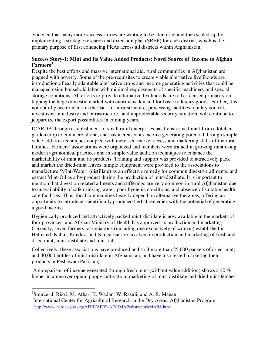evidence that many more success stories are waiting to be identified and then scaled-up by implementing a strategic research and extension plan (SREP) for each district, which is the primary purpose of first conducing PRAs across all districts within Afghanistan.

# **Success Story-1: Mint and Its Value Added Products: Novel Source of Income to Afghan Farmers<sup>3</sup>**

Despite the best efforts and massive international aid, rural communities in Afghanistan are plagued with poverty. Some of the pre-requisites to create viable alternative livelihoods are introduction of easily adaptable alternative crops and income generating activities that could be managed using household labor with minimal requirements of specific machinery and special storage conditions. All efforts to provide alternative livelihoods are to be focused primarily on tapping the huge domestic market with enormous demand for basic to luxury goods. Further, it is not out of place to mention that lack of infra-structure, processing facilities, quality control, investment in industry and infrastructure, and unpredictable security situation, will continue to jeopardize the export possibilities in coming years.

ICARDA through establishment of small rural enterprises has transformed mint from a kitchen garden crop to commercial one; and has increased its income generating potential through simple value addition techniques coupled with increased market access and marketing skills of the rural families. Farmers' associations were organized and members were trained in growing mint using modern agronomical practices and in simple value addition techniques to enhance the marketability of mint and its products. Training and support was provided to attractively pack and market the dried-mint leaves; simple equipment were provided to the associations to manufacture 'Mint-Water' (distillate) as an effective remedy for common digestive ailments; and extract Mint-Oil as a by-product during the production of mint-distillate. It is important to mention that digestion related ailments and sufferings are very common in rural Afghanistan due to unavailability of safe drinking water, poor hygienic conditions, and absence of suitable health care facilities. Thus, local communities heavily depend on alternative therapies, offering an opportunity to introduce scientifically produced herbal remedies with the potential of generating a good income.

Hygienically produced and attractively packed mint-distillate is now available in the markets of four provinces, and Afghan Ministry of Health has approved its production and marketing. Currently, seven farmers' associations (including one exclusively of woman) established in Helmand, Kabul, Kunduz, and Nangarhar are involved in production and marketing of fresh and dried mint; mint-distillate and mint-oil.

Collectively, these associations have produced and sold more than 25,000 packets of dried mint; and 40,000 bottles of mint-distillate in Afghanistan, and have also tested marketing their products in Peshawar (Pakistan).

 A comparison of income generated through fresh mint (without value addition) shows a 40 % higher income over opium poppy cultivation; marketing of mint-distillate and dried mint fetches

-

<sup>3</sup> Source- J. Rizvi, M. Athar, K. Wadan, W. Rasuli, and A. R. Manan International Center for Agricultural Research in the Dry Areas, Afghanistan Program http://www.icarda.cgiar.org/APRP/APRP-AE/HMAP/abstract/rizviABS.htm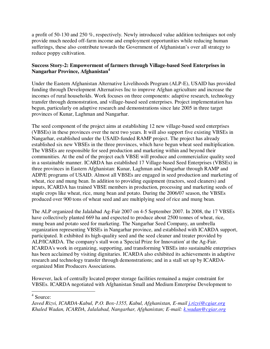a profit of 50-130 and 250 %, respectively. Newly introduced value addition techniques not only provide much needed off-farm income and employment opportunities while reducing human sufferings, these also contribute towards the Government of Afghanistan's over all strategy to reduce poppy cultivation.

# **Success Story-2: Empowerment of farmers through Village-based Seed Enterprises in Nangarhar Province, Afghanistan<sup>4</sup>**

Under the Eastern Afghanistan Alternative Livelihoods Program (ALP-E), USAID has provided funding through Development Alternatives Inc to improve Afghan agriculture and increase the incomes of rural households. Work focuses on three components: adaptive research, technology transfer through demonstration, and village-based seed enterprises. Project implementation has begun, particularly on adaptive research and demonstrations since late 2005 in three target provinces of Kunar, Laghman and Nangarhar.

The seed component of the project aims at establishing 12 new village-based seed enterprises (VBSEs) in these provinces over the next two years. It will also support five existing VBSEs in Nangarhar, established under the USAID-funded RAMP project. The project has already established six new VBSEs in the three provinces, which have begun wheat seed multiplication. The VBSEs are responsible for seed production and marketing within and beyond their communities. At the end of the project each VBSE will produce and commercialize quality seed in a sustainable manner. ICARDA has established 17 Village-based Seed Enterprises (VBSEs) in three provinces in Eastern Afghanistan: Kunar, Laghman and Nangarhar through RAMP and ADP/E programs of USAID. Almost all VBSEs are engaged in seed production and marketing of wheat, rice and mung bean. In addition to providing equipment (tractors, seed cleaners) and inputs, ICARDA has trained VBSE members in production, processing and marketing seeds of staple crops like wheat, rice, mung bean and potato. During the 2006/07 season, the VBSEs produced over 900 tons of wheat seed and are multiplying seed of rice and mung bean.

The ALP organized the Jalalabad Ag-Fair 2007 on 4-5 September 2007. In 2008, the 17 VBSEs have collectively planted 669 ha and expected to produce about 2500 tonnes of wheat, rice, mung bean and potato seed for marketing. The Nangarhar Seed Company, an umbrella organization representing VBSEs in Nangarhar province, and established with ICARDA support, participated. It exhibited its high-quality seed and the seed cleaner and treater provided by ALP/ICARDA. The company's stall won a 'Special Prize for Innovation' at the Ag-Fair. ICARDA's work in organizing, supporting, and transforming VBSEs into sustainable enterprises has been acclaimed by visiting dignitaries. ICARDA also exhibited its achievements in adaptive research and technology transfer through demonstrations; and in a stall set up by ICARDAorganized Mint Producers Associations.

However, lack of centrally located proper storage facilities remained a major constraint for VBSEs. ICARDA negotiated with Afghanistan Small and Medium Enterprise Development to

 $\overline{a}$ 4 Source:

*Javed Rizvi, ICARDA-Kabul, P.O. Box-1355, Kabul, Afghanistan, E-mail j.rizvi@cgiar.org Khaled Wadan, ICARDA, Jalalabad, Nangarhar, Afghanistan; E-mail: k.wadan@cgiar.org*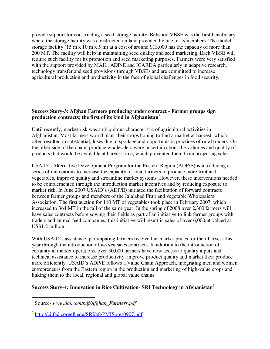provide support for constructing a seed storage facility. Behsood VBSE was the first beneficiary where the storage facility was constructed on land provided by one of its members. The model storage facility (15 m x 10 m x 5 m) at a cost of around \$13,000 has the capacity of more than 200 MT. The facility will help in maintaining seed quality and seed marketing. Each VBSE will require such facility for its promotion and seed marketing purposes. Farmers were very satisfied with the support provided by MAIL, ADP-E and ICARDA particularly in adaptive research, technology transfer and seed provisions through VBSEs and are committed to increase agricultural production and productivity in the face of global challenges in food security.

# **Success Story-3: Afghan Farmers producing under contract - Farmer groups sign production contracts; the first of its kind in Afghanistan<sup>5</sup>**

Until recently, market risk was a ubiquitous characteristic of agricultural activities in Afghanistan. Most farmers would plant their crops hoping to find a market at harvest, which often resulted in substantial, loses due to spoilage and opportunistic practices of rural traders. On the other side of the chain, produce wholesalers were uncertain about the volumes and quality of products that would be available at harvest time, which prevented them from projecting sales.

USAID's Alternative Development Program for the Eastern Region (ADP/E) is introducing a series of innovations to increase the capacity of local farmers to produce more fruit and vegetables, improve quality and streamline market systems. However, these interventions needed to be complemented through the introduction market incentives and by reducing exposure to market risk. In June 2007 USAID's (ADP/E) initiated the facilitation of forward contracts between farmer groups and members of the Jalalabad Fruit and vegetable Wholesalers Association. The first auction for 110 MT of vegetables took place in February 2007, which increased to 364 MT in the fall of the same year. In the spring of 2008 over 2,300 farmers will have sales contracts before sowing their fields as part of an initiative to link farmer groups with traders and animal feed companies; this initiative will result in sales of over 6,000mt valued at US\$1.2 million.

With USAID's assistance, participating farmers receive fair market prices for their harvest this year through the introduction of *written* sales contracts. In addition to the introduction of certainty in market operations, over 30,000 farmers have now access to quality inputs and technical assistance to increase productivity, improve product quality and market their produce more efficiently. USAID's ADP/E follows a Value Chain Approach, integrating men and women entrepreneurs from the Eastern region in the production and marketing of high-value crops and linking them to the local, regional and global value chains.

# **Success Story-4: Innovation in Rice Cultivation- SRI Technology in Afghanistan<sup>6</sup>**

 5 Source- *www.dai.com/pdf/Afghan\_Farmers.pdf* 

<sup>&</sup>lt;sup>6</sup> http://ciifad.cornell.edu/SRI/afgPMISpres0907.pdf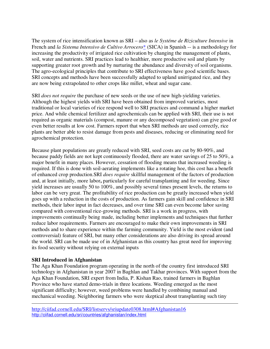The system of rice intensification known as SRI – also as *le Systéme de Riziculture Intensive* in French and *la Sistema Intensivo de Cultivo Arrocero*<sup>\*</sup> (SICA) in Spanish -- is a methodology for increasing the productivity of irrigated rice cultivation by changing the management of plants, soil, water and nutrients. SRI practices lead to healthier, more productive soil and plants by supporting greater root growth and by nurturing the abundance and diversity of soil organisms. The agro-ecological principles that contribute to SRI effectiveness have good scientific bases. SRI concepts and methods have been successfully adapted to upland unirrigated rice, and they are now being extrapolated to other crops like millet, wheat and sugar cane.

SRI *does not require* the purchase of new seeds or the use of new high-yielding varieties. Although the highest yields with SRI have been obtained from improved varieties, most traditional or local varieties of rice respond well to SRI practices and command a higher market price. And while chemical fertilizer and agrochemicals can be applied with SRI, their use is not required as organic materials (compost, manure or any decomposed vegetation) can give good or even better results at low cost. Farmers report that when SRI methods are used correctly, rice plants are better able to resist damage from pests and diseases, reducing or eliminating need for agrochemical protection.

Because plant populations are greatly reduced with SRI, seed costs are cut by 80-90%, and because paddy fields are not kept continuously flooded, there are water savings of 25 to 50%, a major benefit in many places. However, cessation of flooding means that increased weeding is required. If this is done with soil-aerating implements like a rotating hoe, this cost has a benefit of enhanced crop production.SRI *does require* skillful management of the factors of production and, at least initially, more labor**,** particularly for careful transplanting and for weeding. Since yield increases are usually 50 to 100%, and possibly several times present levels, the returns to labor can be very great. The profitability of rice production can be greatly increased when yield goes up with a reduction in the costs of production. As farmers gain skill and confidence in SRI methods, their labor input in fact decreases, and over time SRI can even become labor saving compared with conventional rice-growing methods. SRI is a work in progress, with improvements continually being made, including better implements and techniques that further reduce labor requirements. Farmers are encouraged to make their own improvements in SRI methods and to share experience within the farming community. Yield is the most evident (and controversial) feature of SRI, but many other considerations are also driving its spread around the world. SRI can be made use of in Afghanistan as this country has great need for improving its food security without relying on external inputs

# **SRI Introduced in Afghanistan**

 $\overline{a}$ 

The Aga Khan Foundation program operating in the north of the country first introduced SRI technology in Afghanistan in year 2007 in Baghlan and Takhar provinces. With support from the Aga Khan Foundation, SRI expert from India, P. Kishan Rao, trained farmers in Baghlan Province who have started demo-trials in three locations. Weeding emerged as the most significant difficulty; however, weed problems were handled by combining manual and mechanical weeding. Neighboring farmers who were skeptical about transplanting such tiny

http://ciifad.cornell.edu/SRI/listservs/sriupdate0308.html#Afghanistan16 http://ciifad.cornell.edu/sri/countries/afghanistan/index.html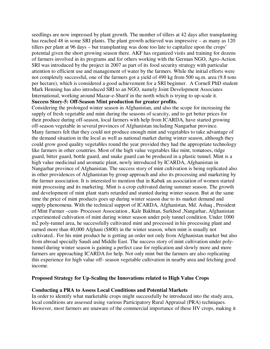seedlings are now impressed by plant growth. The number of tillers at 42 days after transplanting has reached 48 in some SRI plants. The plant growth achieved was impressive – as many as 120 tillers per plant at 96 days – but transplanting was done too late to capitalize upon the crops' potential given the short growing season there. AKF has organized visits and training for dozens of farmers involved in its programs and for others working with the German NGO, Agro-Action. SRI was introduced by the project in 2007 as part of its food security strategy with particular attention to efficient use and management of water by the farmers. While the initial efforts were not completely successful, one of the farmers got a yield of 490 kg from 500 sq.m. area (9.8 tons per hectare), which is considered a good achievement for a SRI beginner. A Cornell PhD student Mark Henning has also introduced SRI to an NGO, namely Joint Development Associates International, working around Mazar-e-Sharif in the north which is trying to up-scale it.

# **Success Story-5: Off-Season Mint production for greater profits.**

Considering the prolonged winter season in Afghanistan, and also the scope for increasing the supply of fresh vegetable and mint during the seasons of scarcity, and to get better prices for their produce during off-season, local farmers with help from ICARDA, have started growing off-season vegetable in several provinces of Afghanistan including Nangarhar province. Many farmers felt that they could not produce enough mint and vegetables to take advantage of the demand situation in the local as well as national market during winter season, although they could grow good quality vegetables round the year provided they had the appropriate technology like farmers in other countries. Most of the high value vegetables like mint, tomatoes, ridge guard, bitter guard, bottle guard, and snake guard can be produced in a plastic tunnel. Mint is a high value medicinal and aromatic plant, newly introduced by ICARDA, Afghanistan in Nangarhar province of Afghanistan. The success story of mint cultivation is being replicated also in other providences of Afghanistan by group approach and also its processing and marketing by the farmer association. It is interested to mention that in Kabuk an association of women started mint processing and its marketing. Mint is a crop cultivated during summer season. The growth and development of mint plant starts retarded and stunted during winter season. But at the same time the price of mint products goes up during winter season due to its market demand and supply phenomena. With the technical support of ICARDA, Afghanistan, Md. Ashaq , President of Mint Farmer –cum- Processor Association , Kale Bakhtan, Surkhod ,Nangarhar, Afghanistan experimented cultivation of mint during winter season under poly tunnel condition. Under 1000 m2 poly-tunnel area, he successfully cultivated mint and processed in his processing plant and earned more than 40,000 Afghani (\$800) in the winter season, when mint is usually not cultivated.. For his mint product he is getting an order not only from Afghanistan market but also from abroad specially Saudi and Middle East. The success story of mint cultivation under polytunnel during winter season is gaining a perfect case for replication and slowly more and more farmers are approaching ICARDA for help. Not only mint but the farmers are also replicating this experience for high value off- season vegetable cultivation in nearby area and fetching good income.

#### **Proposed Strategy for Up-Scaling the Innovations related to High Value Crops**

#### **Conducting a PRA to Assess Local Conditions and Potential Markets**

In order to identify what marketable crops might successfully be introduced into the study area, local conditions are assessed using various Participatory Rural Appraisal (PRA) techniques. However, most farmers are unaware of the commercial importance of these HV crops, making it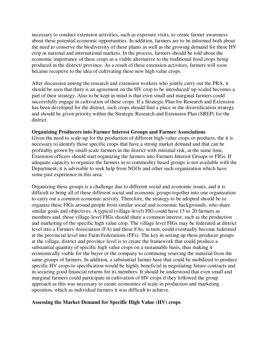necessary to conduct extension activities, such as exposure visits, to create farmer awareness about these potential economic opportunities. In addition, farmers are to be informed both about the need to conserve the biodiversity of these plants as well as the growing demand for these HV crop in national and international markets. In the process, farmers should be told about the economic importance of these crops as a viable alternative to the traditional food crops being produced in the district/ province. As a result of these extension activities, farmers will soon became receptive to the idea of cultivating these new high value crops.

After discussion among the research and extension workers who jointly carry out the PRA, it should be seen that there is an agreement on the HV crop to be introduced/ up-scaled becomes a part of their strategy. Also to be kept in mind is that even small and marginal farmers could successfully engage in cultivation of these crops. If a Strategic Plan for Research and Extension has been developed for the district, such crops should find a place in the diversification strategy and should be given priority within the Strategic Research and Extension Plan (SREP) for the district.

#### **Organizing Producers into Farmer Interest Groups and Farmer Associations**

Given the need to scale-up for the production of different high-value crops or products, the it is necessary to identify those specific crops that have a strong market demand and that can be profitably grown by small-scale farmers in the district with minimal risk, at the same time, Extension officers should start organizing the farmers into Farmers Interest Groups or FIGs. If adequate capacity to organize the farmers in to commodity based groups is not available with the Department, it is advisable to seek help from NGOs and other such organization which have some past experience in this area.

Organizing these groups is a challenge due to different social and economic issues, and it is difficult to bring all of these different social and economic groups together into one organization to carry out a common economic activity. Therefore, the strategy to be adopted should be to organize these FIGs around people from similar social and economic backgrounds, who share similar goals and objectives. A typical (village-level) FIG could have 15 to 20 farmers as members and, those village-level FIGs should share a common interest, such as the production and marketing of the specific high value crop. The village level FIGs may be federated at district level into a Farmers Association (FA) and these FAs, in turn, could eventually become federated at the provincial level into Farm Federations (FFs). The key in setting up these producer groups at the village, district and province level is to create the framework that could produce a substantial quantity of specific high value crops on a sustainable basis, thus making it economically viable for the buyer or the company to continuing sourcing the material from the same groups of farmers. In addition, a substantial farmer base that could be mobilized to produce specific HV crops to specification would be highly beneficial in negotiating future contracts and in securing good financial returns for its members. It should be understood that even small and marginal farmers could participate in cultivation of HV crops if they followed the group approach as this was necessary to create economies of scale in production and marketing operation, which as individual farmers it was difficult to achieve.

#### **Assessing the Market Demand for Specific High Value (HV) crops**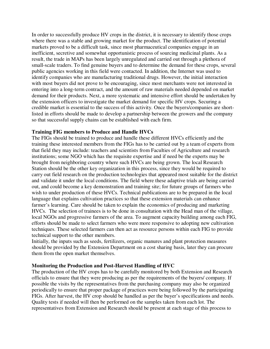In order to successfully produce HV crops in the district, it is necessary to identify those crops where there was a stable and growing market for the product. The identification of potential markets proved to be a difficult task, since most pharmaceutical companies engage in an inefficient, secretive and somewhat opportunistic process of sourcing medicinal plants. As a result, the trade in MAPs has been largely unregulated and carried out through a plethora of small-scale traders. To find genuine buyers and to determine the demand for these crops, several public agencies working in this field were contacted. In addition, the Internet was used to identify companies who are manufacturing traditional drugs. However, the initial interaction with most buyers did not prove to be encouraging, since most merchants were not interested in entering into a long-term contract, and the amount of raw materials needed depended on market demand for their products. Next, a more systematic and intensive effort should be undertaken by the extension officers to investigate the market demand for specific HV crops. Securing a credible market is essential to the success of this activity. Once the buyers/companies are shortlisted in efforts should be made to develop a partnership between the growers and the company so that successful supply chains can be established with each firm.

#### **Training FIG members to Produce and Handle HVCs**

The FIGs should be trained to produce and handle these different HVCs efficiently and the training these interested members from the FIGs has to be carried out by a team of experts from that field they may include: teachers and scientists from Faculties of Agriculture and research institutions; some NGO which has the requisite expertise and if need be the experts may be brought from neighboring country where such HVCs are being grown. The local Research Station should be the other key organization in this process, since they would be required to carry out field research on the production technologies that appeared most suitable for the district and validate it under the local conditions. The field where these adaptive trials are being carried out, and could become a key demonstration and training site; for future groups of farmers who wish to under production of these HVCs. Technical publications are to be prepared in the local language that explains cultivation practices so that these extension materials can enhance farmer's learning. Care should be taken to explain the economics of producing and marketing HVCs. The selection of trainees is to be done in consultation with the Head man of the village, local NGOs and progressive farmers of the area. To augment capacity building among each FIG, efforts should be made to select farmers who were more responsive to adopting new cultivation techniques. These selected farmers can then act as resource persons within each FIG to provide technical support to the other members.

Initially, the inputs such as seeds, fertilizers, organic manures and plant protection measures should be provided by the Extension Department on a cost sharing basis, later they can procure them from the open market themselves.

#### **Monitoring the Production and Post-Harvest Handling of HVC**

The production of the HV crops has to be carefully monitored by both Extension and Research officials to ensure that they were producing as per the requirements of the buyers/ company. If possible the visits by the representatives from the purchasing company may also be organized periodically to ensure that proper package of practices were being followed by the participating FIGs. After harvest, the HV crop should be handled as per the buyer's specifications and needs. Quality tests if needed will then be performed on the samples taken from each lot. The representatives from Extension and Research should be present at each stage of this process to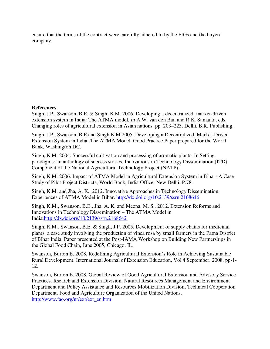ensure that the terms of the contract were carefully adhered to by the FIGs and the buyer/ company.

# **References**

Singh, J.P., Swanson, B.E. & Singh, K.M. 2006. Developing a decentralized, market-driven extension system in India: The ATMA model. *In* A.W. van den Ban and R.K. Samanta, eds. Changing roles of agricultural extension in Asian nations, pp. 203–223. Delhi, B.R. Publishing.

Singh, J.P., Swanson, B.E and Singh K.M.2005. Developing a Decentralized, Market-Driven Extension System in India: The ATMA Model. Good Practice Paper prepared for the World Bank, Washington DC.

Singh, K.M. 2004. Successful cultivation and processing of aromatic plants. In Setting paradigms: an anthology of success stories. Innovations in Technology Dissemination (ITD) Component of the National Agricultural Technology Project (NATP).

Singh, K.M. 2006. Impact of ATMA Model in Agricultural Extension System in Bihar- A Case Study of Pilot Project Districts, World Bank, India Office, New Delhi. P.78.

Singh, K.M. and Jha, A. K., 2012. Innovative Approaches in Technology Dissemination: Experiences of ATMA Model in Bihar. http://dx.doi.org/10.2139/ssrn.2168646

Singh, K.M., Swanson, B.E., Jha, A. K. and Meena, M. S., 2012. Extension Reforms and Innovations in Technology Dissemination – The ATMA Model in India.http://dx.doi.org/10.2139/ssrn.2168642

Singh, K.M., Swanson, B.E. & Singh, J.P. 2005. Development of supply chains for medicinal plants: a case study involving the production of vinca rosa by small farmers in the Patna District of Bihar India. Paper presented at the Post-IAMA Workshop on Building New Partnerships in the Global Food Chain, June 2005, Chicago, IL.

Swanson, Burton E. 2008. Redefining Agricultural Extension's Role in Achieving Sustainable Rural Development. International Journal of Extension Education, Vol.4.September, 2008. pp-1- 12.

Swanson, Burton E. 2008. Global Review of Good Agricultural Extension and Advisory Service Practices. Rsearch and Extension Division, Natural Resources Management and Environment Department and Policy Assistance and Resources Mobilization Division, Technical Cooperation Department. Food and Agriculture Organization of the United Nations. http://www.fao.org/nr/ext/ext\_en.htm